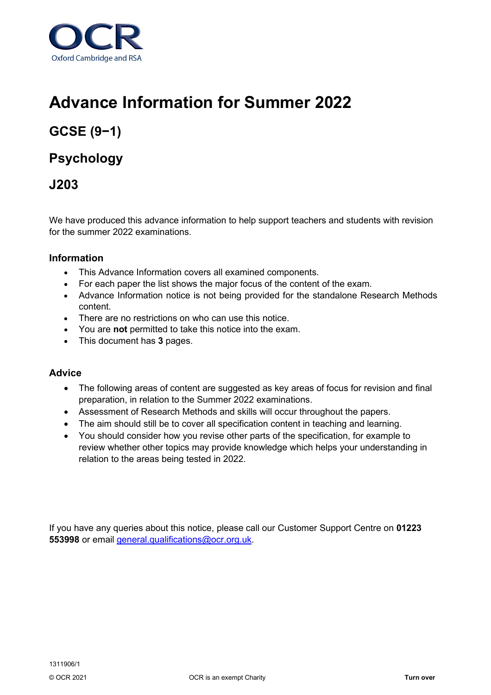

# **Advance Information for Summer 2022**

## **GCSE (9−1)**

## **Psychology**

## **J203**

We have produced this advance information to help support teachers and students with revision for the summer 2022 examinations.

### **Information**

- This Advance Information covers all examined components.
- For each paper the list shows the major focus of the content of the exam.
- Advance Information notice is not being provided for the standalone Research Methods content.
- There are no restrictions on who can use this notice.
- You are **not** permitted to take this notice into the exam.
- This document has **3** pages.

### **Advice**

- The following areas of content are suggested as key areas of focus for revision and final preparation, in relation to the Summer 2022 examinations.
- Assessment of Research Methods and skills will occur throughout the papers.
- The aim should still be to cover all specification content in teaching and learning.
- You should consider how you revise other parts of the specification, for example to review whether other topics may provide knowledge which helps your understanding in relation to the areas being tested in 2022.

If you have any queries about this notice, please call our Customer Support Centre on **01223 553998** or email [general.qualifications@ocr.org.uk.](mailto:general.qualifications@ocr.org.uk)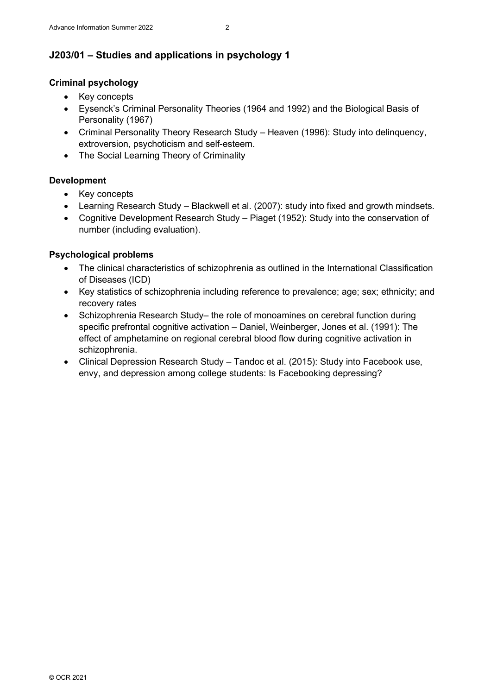## **J203/01 – Studies and applications in psychology 1**

#### **Criminal psychology**

- Key concepts
- Eysenck's Criminal Personality Theories (1964 and 1992) and the Biological Basis of Personality (1967)
- Criminal Personality Theory Research Study Heaven (1996): Study into delinquency, extroversion, psychoticism and self-esteem.
- The Social Learning Theory of Criminality

#### **Development**

- Key concepts
- Learning Research Study Blackwell et al. (2007): study into fixed and growth mindsets.
- Cognitive Development Research Study Piaget (1952): Study into the conservation of number (including evaluation).

### **Psychological problems**

- The clinical characteristics of schizophrenia as outlined in the International Classification of Diseases (ICD)
- Key statistics of schizophrenia including reference to prevalence; age; sex; ethnicity; and recovery rates
- Schizophrenia Research Study– the role of monoamines on cerebral function during specific prefrontal cognitive activation – Daniel, Weinberger, Jones et al. (1991): The effect of amphetamine on regional cerebral blood flow during cognitive activation in schizophrenia.
- Clinical Depression Research Study Tandoc et al. (2015): Study into Facebook use, envy, and depression among college students: Is Facebooking depressing?